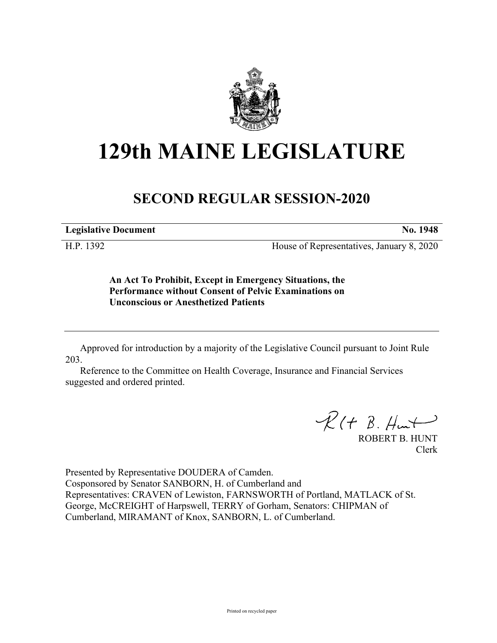

## **129th MAINE LEGISLATURE**

## **SECOND REGULAR SESSION-2020**

**Legislative Document No. 1948**

H.P. 1392 House of Representatives, January 8, 2020

**An Act To Prohibit, Except in Emergency Situations, the Performance without Consent of Pelvic Examinations on Unconscious or Anesthetized Patients**

Approved for introduction by a majority of the Legislative Council pursuant to Joint Rule 203.

Reference to the Committee on Health Coverage, Insurance and Financial Services suggested and ordered printed.

 $R(H B. H<sub>ur</sub>)$ 

ROBERT B. HUNT Clerk

Presented by Representative DOUDERA of Camden. Cosponsored by Senator SANBORN, H. of Cumberland and Representatives: CRAVEN of Lewiston, FARNSWORTH of Portland, MATLACK of St. George, McCREIGHT of Harpswell, TERRY of Gorham, Senators: CHIPMAN of Cumberland, MIRAMANT of Knox, SANBORN, L. of Cumberland.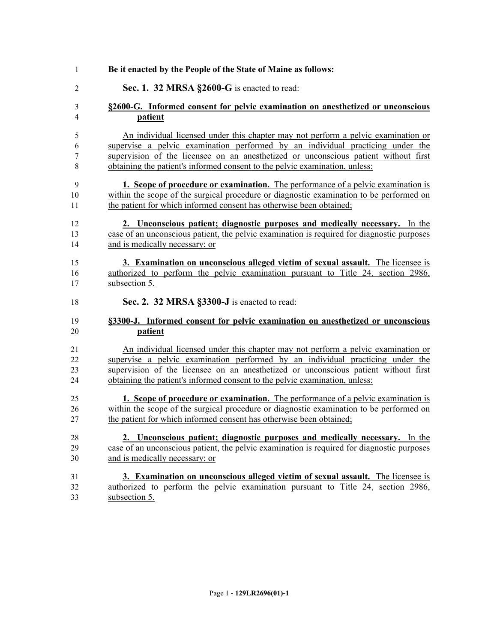| 1      | Be it enacted by the People of the State of Maine as follows:                                                                                                      |
|--------|--------------------------------------------------------------------------------------------------------------------------------------------------------------------|
| 2      | Sec. 1. 32 MRSA §2600-G is enacted to read:                                                                                                                        |
| 3      | §2600-G. Informed consent for pelvic examination on anesthetized or unconscious                                                                                    |
| 4      | patient                                                                                                                                                            |
| 5      | An individual licensed under this chapter may not perform a pelvic examination or                                                                                  |
| 6      | supervise a pelvic examination performed by an individual practicing under the                                                                                     |
| 7<br>8 | supervision of the licensee on an anesthetized or unconscious patient without first<br>obtaining the patient's informed consent to the pelvic examination, unless: |
| 9      | 1. Scope of procedure or examination. The performance of a pelvic examination is                                                                                   |
| 10     | within the scope of the surgical procedure or diagnostic examination to be performed on                                                                            |
| 11     | the patient for which informed consent has otherwise been obtained;                                                                                                |
| 12     | 2. Unconscious patient; diagnostic purposes and medically necessary. In the                                                                                        |
| 13     | case of an unconscious patient, the pelvic examination is required for diagnostic purposes                                                                         |
| 14     | and is medically necessary; or                                                                                                                                     |
| 15     | 3. Examination on unconscious alleged victim of sexual assault. The licensee is                                                                                    |
| 16     | authorized to perform the pelvic examination pursuant to Title 24, section 2986,                                                                                   |
| 17     | subsection 5.                                                                                                                                                      |
| 18     | Sec. 2. 32 MRSA §3300-J is enacted to read:                                                                                                                        |
| 19     | §3300-J. Informed consent for pelvic examination on anesthetized or unconscious                                                                                    |
| 20     | patient                                                                                                                                                            |
| 21     | An individual licensed under this chapter may not perform a pelvic examination or                                                                                  |
| 22     | supervise a pelvic examination performed by an individual practicing under the                                                                                     |
| 23     | supervision of the licensee on an anesthetized or unconscious patient without first                                                                                |
| 24     | obtaining the patient's informed consent to the pelvic examination, unless:                                                                                        |
| 25     | 1. Scope of procedure or examination. The performance of a pelvic examination is                                                                                   |
| 26     | within the scope of the surgical procedure or diagnostic examination to be performed on                                                                            |
| 27     | the patient for which informed consent has otherwise been obtained;                                                                                                |
| 28     | 2. Unconscious patient; diagnostic purposes and medically necessary. In the                                                                                        |
| 29     | case of an unconscious patient, the pelvic examination is required for diagnostic purposes                                                                         |
| 30     | and is medically necessary; or                                                                                                                                     |
| 31     | 3. Examination on unconscious alleged victim of sexual assault. The licensee is                                                                                    |
| 32     | authorized to perform the pelvic examination pursuant to Title 24, section 2986,                                                                                   |
| 33     | subsection 5.                                                                                                                                                      |